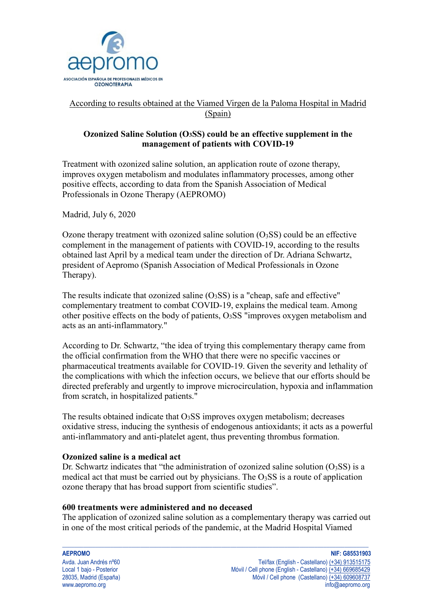

# According to results obtained at the Viamed Virgen de la Paloma Hospital in Madrid (Spain)

## **Ozonized Saline Solution (O3SS) could be an effective supplement in the management of patients with COVID-19**

Treatment with ozonized saline solution, an application route of ozone therapy, improves oxygen metabolism and modulates inflammatory processes, among other positive effects, according to data from the Spanish Association of Medical Professionals in Ozone Therapy (AEPROMO)

Madrid, July 6, 2020

Ozone therapy treatment with ozonized saline solution  $(O<sub>3</sub>SS)$  could be an effective complement in the management of patients with COVID-19, according to the results obtained last April by a medical team under the direction of Dr. Adriana Schwartz, president of Aepromo (Spanish Association of Medical Professionals in Ozone Therapy).

The results indicate that ozonized saline  $(O<sub>3</sub>SS)$  is a "cheap, safe and effective" complementary treatment to combat COVID-19, explains the medical team. Among other positive effects on the body of patients,  $O<sub>3</sub>SS$  "improves oxygen metabolism and acts as an anti-inflammatory."

According to Dr. Schwartz, "the idea of trying this complementary therapy came from the official confirmation from the WHO that there were no specific vaccines or pharmaceutical treatments available for COVID-19. Given the severity and lethality of the complications with which the infection occurs, we believe that our efforts should be directed preferably and urgently to improve microcirculation, hypoxia and inflammation from scratch, in hospitalized patients."

The results obtained indicate that O3SS improves oxygen metabolism; decreases oxidative stress, inducing the synthesis of endogenous antioxidants; it acts as a powerful anti-inflammatory and anti-platelet agent, thus preventing thrombus formation.

### **Ozonized saline is a medical act**

Dr. Schwartz indicates that "the administration of ozonized saline solution  $(O<sub>3</sub>SS)$  is a medical act that must be carried out by physicians. The  $O<sub>3</sub>SS$  is a route of application ozone therapy that has broad support from scientific studies".

#### **600 treatments were administered and no deceased**

The application of ozonized saline solution as a complementary therapy was carried out in one of the most critical periods of the pandemic, at the Madrid Hospital Viamed

 $\_$  ,  $\_$  ,  $\_$  ,  $\_$  ,  $\_$  ,  $\_$  ,  $\_$  ,  $\_$  ,  $\_$  ,  $\_$  ,  $\_$  ,  $\_$  ,  $\_$  ,  $\_$  ,  $\_$  ,  $\_$  ,  $\_$  ,  $\_$  ,  $\_$  ,  $\_$  ,  $\_$  ,  $\_$  ,  $\_$  ,  $\_$  ,  $\_$  ,  $\_$  ,  $\_$  ,  $\_$  ,  $\_$  ,  $\_$  ,  $\_$  ,  $\_$  ,  $\_$  ,  $\_$  ,  $\_$  ,  $\_$  ,  $\_$  ,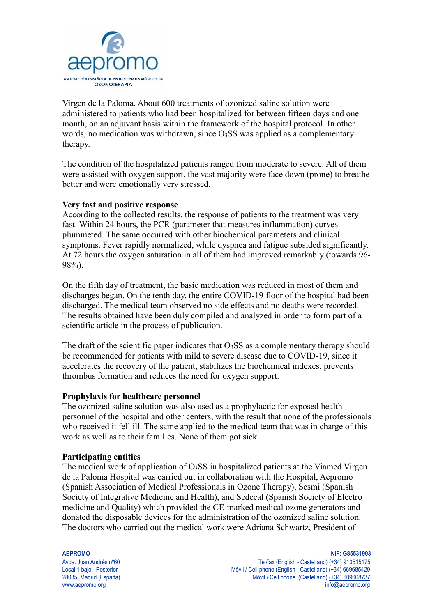

Virgen de la Paloma. About 600 treatments of ozonized saline solution were administered to patients who had been hospitalized for between fifteen days and one month, on an adjuvant basis within the framework of the hospital protocol. In other words, no medication was withdrawn, since  $O<sub>3</sub>SS$  was applied as a complementary therapy.

The condition of the hospitalized patients ranged from moderate to severe. All of them were assisted with oxygen support, the vast majority were face down (prone) to breathe better and were emotionally very stressed.

#### **Very fast and positive response**

According to the collected results, the response of patients to the treatment was very fast. Within 24 hours, the PCR (parameter that measures inflammation) curves plummeted. The same occurred with other biochemical parameters and clinical symptoms. Fever rapidly normalized, while dyspnea and fatigue subsided significantly. At 72 hours the oxygen saturation in all of them had improved remarkably (towards 96- 98%).

On the fifth day of treatment, the basic medication was reduced in most of them and discharges began. On the tenth day, the entire COVID-19 floor of the hospital had been discharged. The medical team observed no side effects and no deaths were recorded. The results obtained have been duly compiled and analyzed in order to form part of a scientific article in the process of publication.

The draft of the scientific paper indicates that  $O<sub>3</sub>SS$  as a complementary therapy should be recommended for patients with mild to severe disease due to COVID-19, since it accelerates the recovery of the patient, stabilizes the biochemical indexes, prevents thrombus formation and reduces the need for oxygen support.

#### **Prophylaxis for healthcare personnel**

The ozonized saline solution was also used as a prophylactic for exposed health personnel of the hospital and other centers, with the result that none of the professionals who received it fell ill. The same applied to the medical team that was in charge of this work as well as to their families. None of them got sick.

#### **Participating entities**

The medical work of application of  $O<sub>3</sub>SS$  in hospitalized patients at the Viamed Virgen de la Paloma Hospital was carried out in collaboration with the Hospital, Aepromo (Spanish Association of Medical Professionals in Ozone Therapy), Sesmi (Spanish Society of Integrative Medicine and Health), and Sedecal (Spanish Society of Electro medicine and Quality) which provided the CE-marked medical ozone generators and donated the disposable devices for the administration of the ozonized saline solution. The doctors who carried out the medical work were Adriana Schwartz, President of

 $\_$  ,  $\_$  ,  $\_$  ,  $\_$  ,  $\_$  ,  $\_$  ,  $\_$  ,  $\_$  ,  $\_$  ,  $\_$  ,  $\_$  ,  $\_$  ,  $\_$  ,  $\_$  ,  $\_$  ,  $\_$  ,  $\_$  ,  $\_$  ,  $\_$  ,  $\_$  ,  $\_$  ,  $\_$  ,  $\_$  ,  $\_$  ,  $\_$  ,  $\_$  ,  $\_$  ,  $\_$  ,  $\_$  ,  $\_$  ,  $\_$  ,  $\_$  ,  $\_$  ,  $\_$  ,  $\_$  ,  $\_$  ,  $\_$  ,